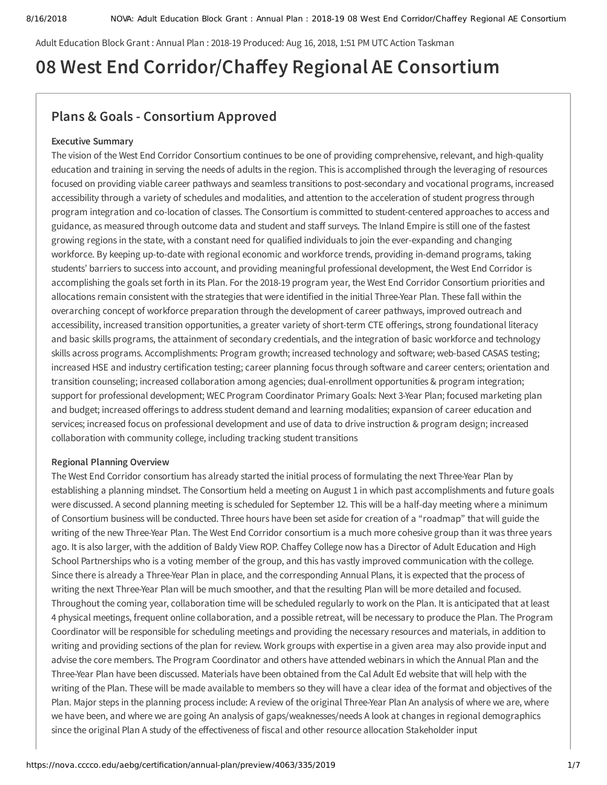Adult Education Block Grant : Annual Plan : 2018-19 Produced: Aug 16, 2018, 1:51 PM UTC Action Taskman

# **08 West End Corridor/Chaey Regional AE Consortium**

## **Plans & Goals - Consortium Approved**

### **Executive Summary**

The vision of the West End Corridor Consortium continues to be one of providing comprehensive, relevant, and high-quality education and training in serving the needs of adults in the region. This is accomplished through the leveraging of resources focused on providing viable career pathways and seamless transitions to post-secondary and vocational programs, increased accessibility through a variety of schedules and modalities, and attention to the acceleration of student progress through program integration and co-location of classes. The Consortium is committed to student-centered approaches to access and guidance, as measured through outcome data and student and staff surveys. The Inland Empire is still one of the fastest growing regions in the state, with a constant need for qualified individuals to join the ever-expanding and changing workforce. By keeping up-to-date with regional economic and workforce trends, providing in-demand programs, taking students' barriers to success into account, and providing meaningful professional development, the West End Corridor is accomplishing the goals set forth in its Plan. For the 2018-19 program year, the West End Corridor Consortium priorities and allocations remain consistent with the strategies that were identified in the initial Three-Year Plan. These fall within the overarching concept of workforce preparation through the development of career pathways, improved outreach and accessibility, increased transition opportunities, a greater variety of short-term CTE offerings, strong foundational literacy and basic skills programs, the attainment of secondary credentials, and the integration of basic workforce and technology skills across programs. Accomplishments: Program growth; increased technology and software; web-based CASAS testing; increased HSE and industry certification testing; career planning focus through software and career centers; orientation and transition counseling; increased collaboration among agencies; dual-enrollment opportunities & program integration; support for professional development; WEC Program Coordinator Primary Goals: Next 3-Year Plan; focused marketing plan and budget; increased offerings to address student demand and learning modalities; expansion of career education and services; increased focus on professional development and use of data to drive instruction & program design; increased collaboration with community college, including tracking student transitions

### **Regional Planning Overview**

The West End Corridor consortium has already started the initial process of formulating the next Three-Year Plan by establishing a planning mindset. The Consortium held a meeting on August 1 in which past accomplishments and future goals were discussed. A second planning meeting is scheduled for September 12. This will be a half-day meeting where a minimum of Consortium business will be conducted. Three hours have been set aside for creation of a "roadmap" that will guide the writing of the new Three-Year Plan. The West End Corridor consortium is a much more cohesive group than it was three years ago. It is also larger, with the addition of Baldy View ROP. Chaffey College now has a Director of Adult Education and High School Partnerships who is a voting member of the group, and this has vastly improved communication with the college. Since there is already a Three-Year Plan in place, and the corresponding Annual Plans, it is expected that the process of writing the next Three-Year Plan will be much smoother, and that the resulting Plan will be more detailed and focused. Throughout the coming year, collaboration time will be scheduled regularly to work on the Plan. It is anticipated that at least 4 physical meetings, frequent online collaboration, and a possible retreat, will be necessary to produce the Plan. The Program Coordinator will be responsible for scheduling meetings and providing the necessary resources and materials, in addition to writing and providing sections of the plan for review. Work groups with expertise in a given area may also provide input and advise the core members. The Program Coordinator and others have attended webinars in which the Annual Plan and the Three-Year Plan have been discussed. Materials have been obtained from the Cal Adult Ed website that will help with the writing of the Plan. These will be made available to members so they will have a clear idea of the format and objectives of the Plan. Major steps in the planning process include: A review of the original Three-Year Plan An analysis of where we are, where we have been, and where we are going An analysis of gaps/weaknesses/needs A look at changes in regional demographics since the original Plan A study of the effectiveness of fiscal and other resource allocation Stakeholder input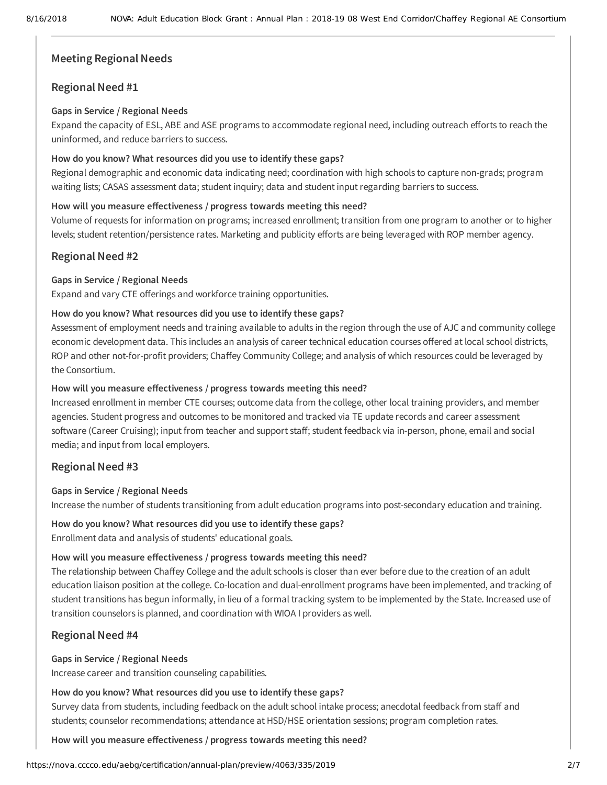### **Meeting Regional Needs**

### **Regional Need #1**

### **Gaps in Service / Regional Needs**

Expand the capacity of ESL, ABE and ASE programs to accommodate regional need, including outreach efforts to reach the uninformed, and reduce barriers to success.

### **How do you know? What resources did you use to identify these gaps?**

Regional demographic and economic data indicating need; coordination with high schools to capture non-grads; program waiting lists; CASAS assessment data; student inquiry; data and student input regarding barriers to success.

### How will you measure effectiveness / progress towards meeting this need?

Volume of requests for information on programs; increased enrollment; transition from one program to another or to higher levels; student retention/persistence rates. Marketing and publicity efforts are being leveraged with ROP member agency.

### **Regional Need #2**

### **Gaps in Service / Regional Needs**

Expand and vary CTE offerings and workforce training opportunities.

### **How do you know? What resources did you use to identify these gaps?**

Assessment of employment needs and training available to adults in the region through the use of AJC and community college economic development data. This includes an analysis of career technical education courses offered at local school districts, ROP and other not-for-profit providers; Chaffey Community College; and analysis of which resources could be leveraged by the Consortium.

### **How** will you measure effectiveness / progress towards meeting this need?

Increased enrollment in member CTE courses; outcome data from the college, other local training providers, and member agencies. Student progress and outcomes to be monitored and tracked via TE update records and career assessment software (Career Cruising); input from teacher and support staff; student feedback via in-person, phone, email and social media; and input from local employers.

### **Regional Need #3**

### **Gaps in Service / Regional Needs**

Increase the number of students transitioning from adult education programs into post-secondary education and training.

### **How do you know? What resources did you use to identify these gaps?**

Enrollment data and analysis of students' educational goals.

### **How** will you measure effectiveness / progress towards meeting this need?

The relationship between Chaffey College and the adult schools is closer than ever before due to the creation of an adult education liaison position at the college. Co-location and dual-enrollment programs have been implemented, and tracking of student transitions has begun informally, in lieu of a formal tracking system to be implemented by the State. Increased use of transition counselors is planned, and coordination with WIOA I providers as well.

### **Regional Need #4**

### **Gaps in Service / Regional Needs**

Increase career and transition counseling capabilities.

### **How do you know? What resources did you use to identify these gaps?**

Survey data from students, including feedback on the adult school intake process; anecdotal feedback from staff and students; counselor recommendations; attendance at HSD/HSE orientation sessions; program completion rates.

How will you measure effectiveness / progress towards meeting this need?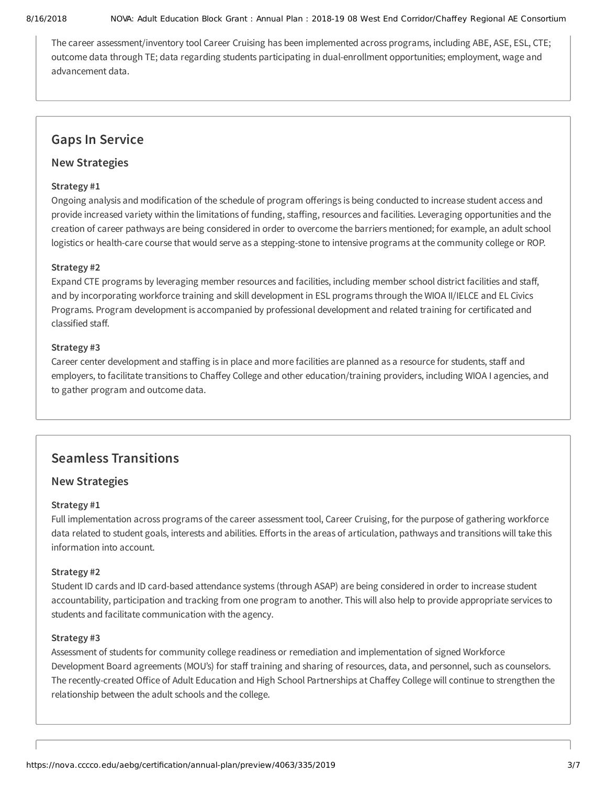#### 8/16/2018 NOVA: Adult Education Block Grant : Annual Plan : 2018-19 08 West End Corridor/Chaffey Regional AE Consortium

The career assessment/inventory tool Career Cruising has been implemented across programs, including ABE, ASE, ESL, CTE; outcome data through TE; data regarding students participating in dual-enrollment opportunities; employment, wage and advancement data.

### **Gaps In Service**

### **New Strategies**

### **Strategy #1**

Ongoing analysis and modification of the schedule of program offerings is being conducted to increase student access and provide increased variety within the limitations of funding, staffing, resources and facilities. Leveraging opportunities and the creation of career pathways are being considered in order to overcome the barriers mentioned; for example, an adult school logistics or health-care course that would serve as a stepping-stone to intensive programs at the community college or ROP.

### **Strategy #2**

Expand CTE programs by leveraging member resources and facilities, including member school district facilities and staff, and by incorporating workforce training and skill development in ESL programs through the WIOA II/IELCE and EL Civics Programs. Program development is accompanied by professional development and related training for certificated and classified staff.

### **Strategy #3**

Career center development and staffing is in place and more facilities are planned as a resource for students, staff and employers, to facilitate transitions to Chaffey College and other education/training providers, including WIOA I agencies, and to gather program and outcome data.

## **Seamless Transitions**

### **New Strategies**

### **Strategy #1**

Full implementation across programs of the career assessment tool, Career Cruising, for the purpose of gathering workforce data related to student goals, interests and abilities. Efforts in the areas of articulation, pathways and transitions will take this information into account.

### **Strategy #2**

Student ID cards and ID card-based attendance systems (through ASAP) are being considered in order to increase student accountability, participation and tracking from one program to another. This will also help to provide appropriate services to students and facilitate communication with the agency.

### **Strategy #3**

Assessment of students for community college readiness or remediation and implementation of signed Workforce Development Board agreements (MOU's) for staff training and sharing of resources, data, and personnel, such as counselors. The recently-created Office of Adult Education and High School Partnerships at Chaffey College will continue to strengthen the relationship between the adult schools and the college.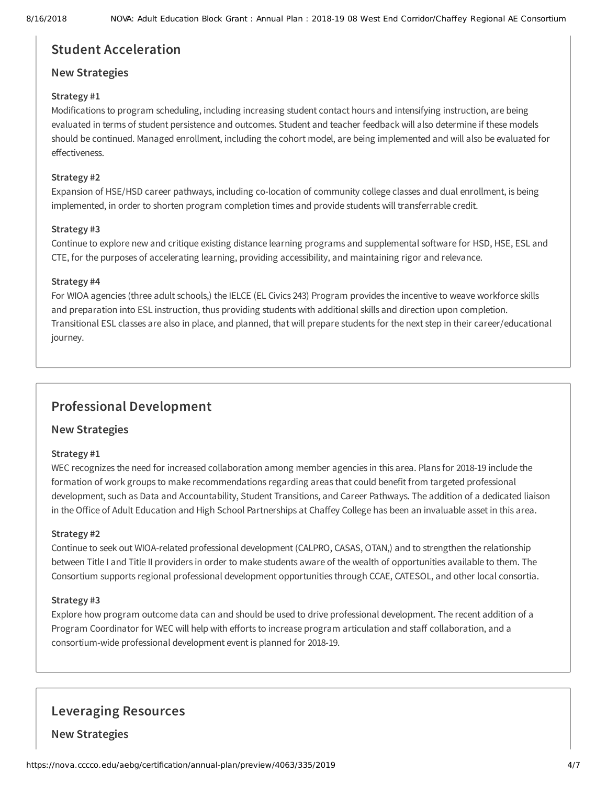### **Student Acceleration**

### **New Strategies**

### **Strategy #1**

Modifications to program scheduling, including increasing student contact hours and intensifying instruction, are being evaluated in terms of student persistence and outcomes. Student and teacher feedback will also determine if these models should be continued. Managed enrollment, including the cohort model, are being implemented and will also be evaluated for effectiveness.

### **Strategy #2**

Expansion of HSE/HSD career pathways, including co-location of community college classes and dual enrollment, is being implemented, in order to shorten program completion times and provide students will transferrable credit.

### **Strategy #3**

Continue to explore new and critique existing distance learning programs and supplemental software for HSD, HSE, ESL and CTE, for the purposes of accelerating learning, providing accessibility, and maintaining rigor and relevance.

### **Strategy #4**

For WIOA agencies (three adult schools,) the IELCE (EL Civics 243) Program provides the incentive to weave workforce skills and preparation into ESL instruction, thus providing students with additional skills and direction upon completion. Transitional ESL classes are also in place, and planned, that will prepare students for the next step in their career/educational journey.

## **Professional Development**

### **New Strategies**

### **Strategy #1**

WEC recognizes the need for increased collaboration among member agencies in this area. Plans for 2018-19 include the formation of work groups to make recommendations regarding areas that could benefit from targeted professional development, such as Data and Accountability, Student Transitions, and Career Pathways. The addition of a dedicated liaison in the Office of Adult Education and High School Partnerships at Chaffey College has been an invaluable asset in this area.

### **Strategy #2**

Continue to seek out WIOA-related professional development (CALPRO, CASAS, OTAN,) and to strengthen the relationship between Title I and Title II providers in order to make students aware of the wealth of opportunities available to them. The Consortium supports regional professional development opportunities through CCAE, CATESOL, and other local consortia.

### **Strategy #3**

Explore how program outcome data can and should be used to drive professional development. The recent addition of a Program Coordinator for WEC will help with efforts to increase program articulation and staff collaboration, and a consortium-wide professional development event is planned for 2018-19.

### **Leveraging Resources**

**New Strategies**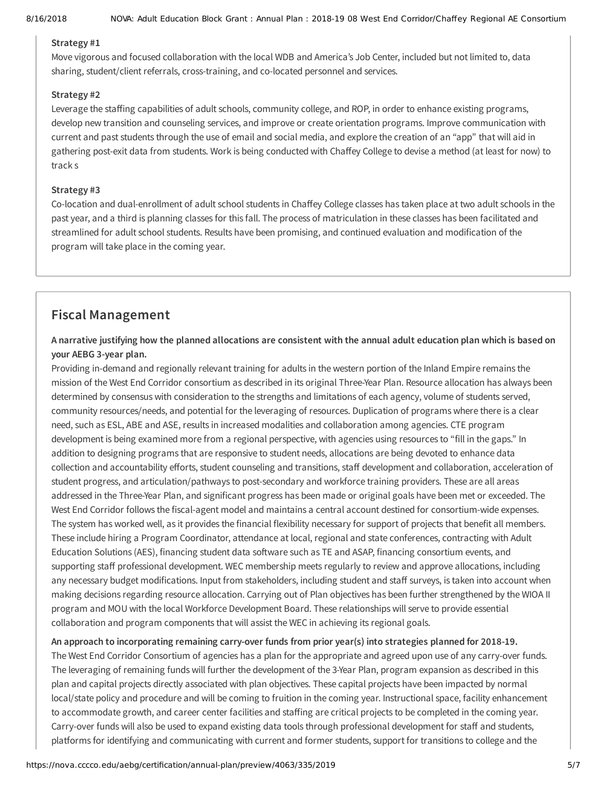### **Strategy #1**

Move vigorous and focused collaboration with the local WDB and America's Job Center, included but not limited to, data sharing, student/client referrals, cross-training, and co-located personnel and services.

### **Strategy #2**

Leverage the staffing capabilities of adult schools, community college, and ROP, in order to enhance existing programs, develop new transition and counseling services, and improve or create orientation programs. Improve communication with current and past students through the use of email and social media, and explore the creation of an "app" that will aid in gathering post-exit data from students. Work is being conducted with Chaffey College to devise a method (at least for now) to track s

### **Strategy #3**

Co-location and dual-enrollment of adult school students in Chaffey College classes has taken place at two adult schools in the past year, and a third is planning classes for this fall. The process of matriculation in these classes has been facilitated and streamlined for adult school students. Results have been promising, and continued evaluation and modification of the program will take place in the coming year.

### **Fiscal Management**

### A narrative justifying how the planned allocations are consistent with the annual adult education plan which is based on **your AEBG 3-year plan.**

Providing in-demand and regionally relevant training for adults in the western portion of the Inland Empire remains the mission of the West End Corridor consortium as described in its original Three-Year Plan. Resource allocation has always been determined by consensus with consideration to the strengths and limitations of each agency, volume of students served, community resources/needs, and potential for the leveraging of resources. Duplication of programs where there is a clear need, such as ESL, ABE and ASE, results in increased modalities and collaboration among agencies. CTE program development is being examined more from a regional perspective, with agencies using resources to "fill in the gaps." In addition to designing programs that are responsive to student needs, allocations are being devoted to enhance data collection and accountability efforts, student counseling and transitions, staff development and collaboration, acceleration of student progress, and articulation/pathways to post-secondary and workforce training providers. These are all areas addressed in the Three-Year Plan, and significant progress has been made or original goals have been met or exceeded. The West End Corridor follows the fiscal-agent model and maintains a central account destined for consortium-wide expenses. The system has worked well, as it provides the financial flexibility necessary for support of projects that benefit all members. These include hiring a Program Coordinator, attendance at local, regional and state conferences, contracting with Adult Education Solutions (AES), financing student data software such as TE and ASAP, financing consortium events, and supporting staff professional development. WEC membership meets regularly to review and approve allocations, including any necessary budget modifications. Input from stakeholders, including student and staff surveys, is taken into account when making decisions regarding resource allocation. Carrying out of Plan objectives has been further strengthened by the WIOA II program and MOU with the local Workforce Development Board. These relationships will serve to provide essential collaboration and program components that will assist the WEC in achieving its regional goals.

### **An approach to incorporating remaining carry-over funds from prior year(s) into strategies planned for 2018-19.**

The West End Corridor Consortium of agencies has a plan for the appropriate and agreed upon use of any carry-over funds. The leveraging of remaining funds will further the development of the 3-Year Plan, program expansion as described in this plan and capital projects directly associated with plan objectives. These capital projects have been impacted by normal local/state policy and procedure and will be coming to fruition in the coming year. Instructional space, facility enhancement to accommodate growth, and career center facilities and staffing are critical projects to be completed in the coming year. Carry-over funds will also be used to expand existing data tools through professional development for staff and students, platforms for identifying and communicating with current and former students, support for transitions to college and the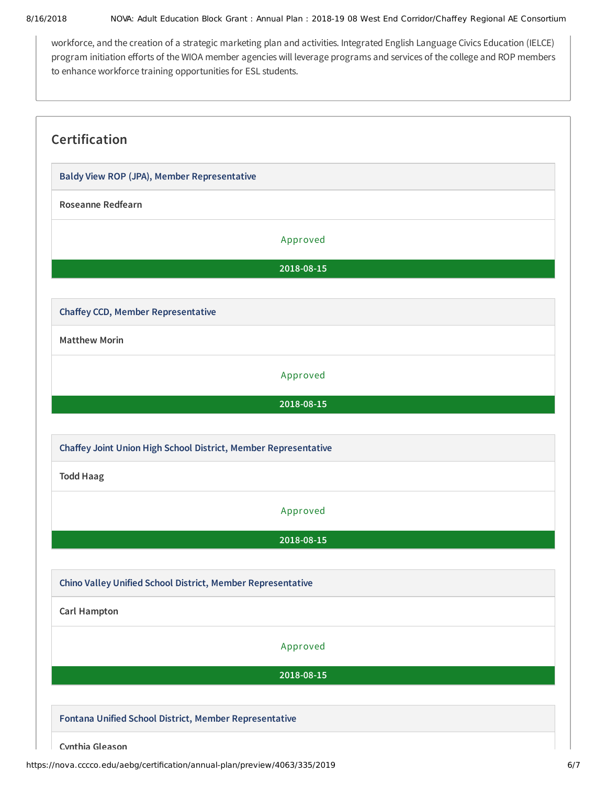workforce, and the creation of a strategic marketing plan and activities. Integrated English Language Civics Education (IELCE) program initiation efforts of the WIOA member agencies will leverage programs and services of the college and ROP members to enhance workforce training opportunities for ESL students.